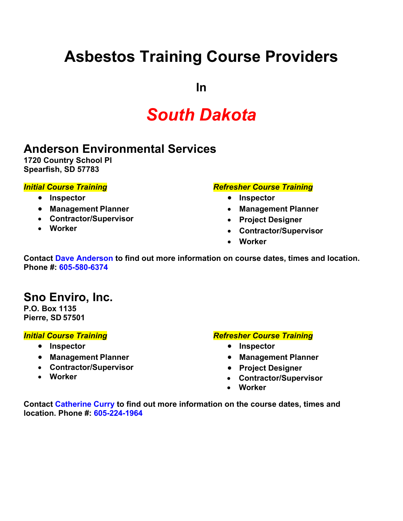# **Asbestos Training Course Providers**

**In**

# *South Dakota*

## **Anderson Environmental Services**

**1720 Country School Pl Spearfish, SD 57783**

#### *Initial Course Training*

#### • **Inspector**

- **Management Planner**
- **Contractor/Supervisor**
- **Worker**

#### *Refresher Course Training*

- **Inspector**
- **Management Planner**
- **Project Designer**
- **Contractor/Supervisor**
- **Worker**

**Contact Dave Anderson to find out more information on course dates, times and location. Phone #: 605-580-6374**

### **Sno Enviro, Inc.**

**P.O. Box 1135 Pierre, SD 57501**

#### *Initial Course Training*

- **Inspector**
- **Management Planner**
- **Contractor/Supervisor**
- **Worker**

#### *Refresher Course Training*

- **Inspector**
- **Management Planner**
- **Project Designer**
- **Contractor/Supervisor**
- **Worker**

**Contact Catherine Curry to find out more information on the course dates, times and location. Phone #: 605-224-1964**